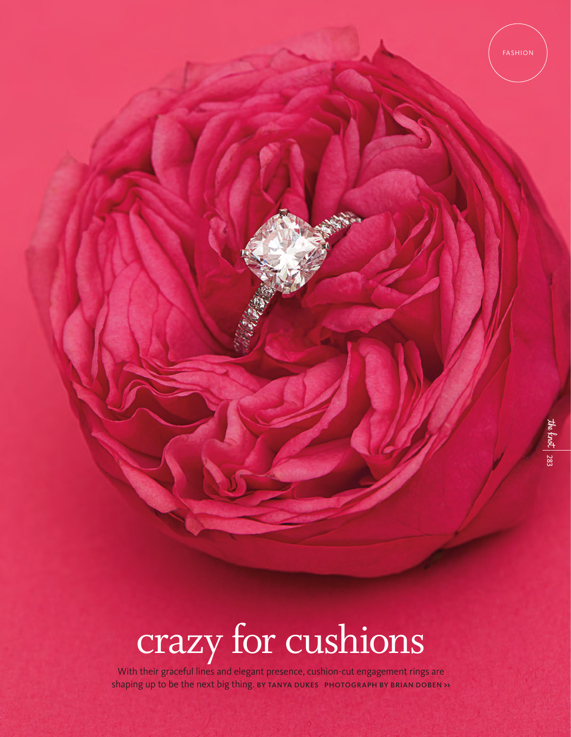# crazy for cushions

With their graceful lines and elegant presence, cushion-cut engagement rings are shaping up to be the next big thing. BY TANYA DUKES PHOTOGRAPH BY BRIAN DOBEN **>>**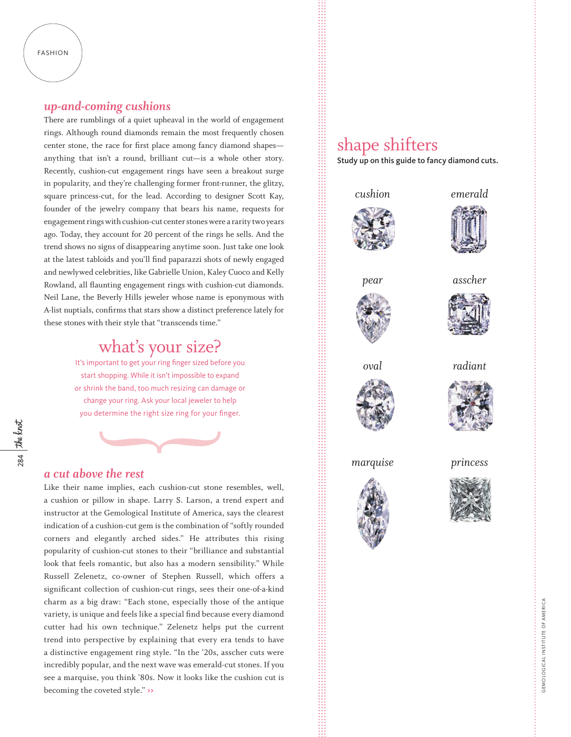#### FASHION

# *up-and-coming cushions*

There are rumblings of a quiet upheaval in the world of engagement rings. Although round diamonds remain the most frequently chosen center stone, the race for first place among fancy diamond shapes anything that isn't a round, brilliant cut—is a whole other story. Recently, cushion-cut engagement rings have seen a breakout surge in popularity, and they're challenging former front-runner, the glitzy, square princess-cut, for the lead. According to designer Scott Kay, founder of the jewelry company that bears his name, requests for engagement rings with cushion-cut center stones were a rarity two years ago. Today, they account for 20 percent of the rings he sells. And the trend shows no signs of disappearing anytime soon. Just take one look at the latest tabloids and you'll find paparazzi shots of newly engaged and newlywed celebrities, like Gabrielle Union, Kaley Cuoco and Kelly Rowland, all flaunting engagement rings with cushion-cut diamonds. Neil Lane, the Beverly Hills jeweler whose name is eponymous with A-list nuptials, confirms that stars show a distinct preference lately for these stones with their style that "transcends time."

# what's your size?

It's important to get your ring finger sized before you start shopping. While it isn't impossible to expand or shrink the band, too much resizing can damage or change your ring. Ask your local jeweler to help you determine the right size ring for your finger.

284 the knot

### *a cut above the rest*

Like their name implies, each cushion-cut stone resembles, well, a cushion or pillow in shape. Larry S. Larson, a trend expert and instructor at the Gemological Institute of America, says the clearest indication of a cushion-cut gem is the combination of "softly rounded corners and elegantly arched sides." He attributes this rising popularity of cushion-cut stones to their "brilliance and substantial look that feels romantic, but also has a modern sensibility." While Russell Zelenetz, co-owner of Stephen Russell, which offers a significant collection of cushion-cut rings, sees their one-of-a-kind charm as a big draw: "Each stone, especially those of the antique variety, is unique and feels like a special find because every diamond cutter had his own technique." Zelenetz helps put the current trend into perspective by explaining that every era tends to have a distinctive engagement ring style. "In the '20s, asscher cuts were incredibly popular, and the next wave was emerald-cut stones. If you see a marquise, you think '80s. Now it looks like the cushion cut is becoming the coveted style." **>>**

# shape shifters

Study up on this guide to fancy diamond cuts.



*pear* 





*asscher*



*oval*







*marquise*

*princess*